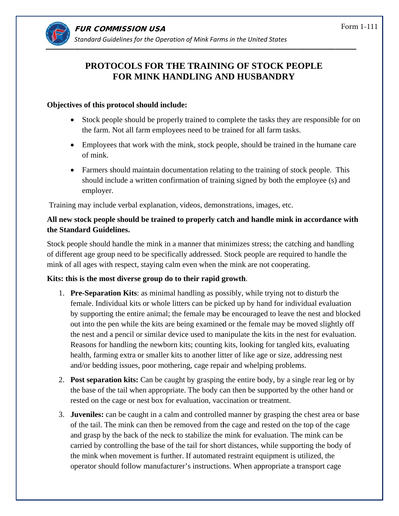

# **PROTO OCOLS F FOR THE TRAININ NG OF ST TOCK PE OPLE FOR MINK HANDLING AND HUSBANDRY**

### **Objectives of this protocol should include:**

- Stock people should be properly trained to complete the tasks they are responsible for on the farm. Not all farm employees need to be trained for all farm tasks.
- Employees that work with the mink, stock people, should be trained in the humane care of mink.
- Farmers should maintain documentation relating to the training of stock people. This should include a written confirmation of training signed by both the employee (s) and employer .

Training may include verbal explanation, videos, demonstrations, images, etc.

## All new stock people should be trained to properly catch and handle mink in accordance with **the Standard Guidelines.**

Stock people should handle the mink in a manner that minimizes stress; the catching and handling of different age group need to be specifically addressed. Stock people are required to handle the mink of all ages with respect, staying calm even when the mink are not cooperating.

## **Kits:** this is the most diverse group do to their rapid growth.

- 1. **Pre-Separation Kits**: as minimal handling as possibly, while trying not to disturb the female. Individual kits or whole litters can be picked up by hand for individual evaluation by supporting the entire animal; the female may be encouraged to leave the nest and blocked out into the pen while the kits are being examined or the female may be moved slightly off the nest and a pencil or similar device used to manipulate the kits in the nest for evaluation. Reasons for handling the newborn kits; counting kits, looking for tangled kits, evaluating health, farming extra or smaller kits to another litter of like age or size, addressing nest and/or bedding issues, poor mothering, cage repair and whelping problems.
- 2. Post separation kits: Can be caught by grasping the entire body, by a single rear leg or by the base of the tail when appropriate. The body can then be supported by the other hand or rested on the cage or nest box for evaluation, vaccination or treatment.
- 3. **Juveniles:** can be caught in a calm and controlled manner by grasping the chest area or base of the tail. The mink can then be removed from the cage and rested on the top of the cage and grasp by the back of the neck to stabilize the mink for evaluation. The mink can be carried by controlling the base of the tail for short distances, while supporting the body of the mink when movement is further. If automated restraint equipment is utilized, the operator should follow manufacturer's instructions. When appropriate a transport cage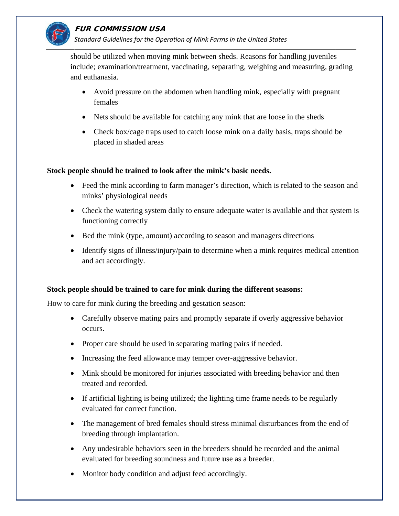

## FUR COMMISSION USA

Standard Guidelines for the Operation of Mink Farms in the United States

should be utilized when moving mink between sheds. Reasons for handling juveniles include; examination/treatment, vaccinating, separating, weighing and measuring, grading and euthanasia.

- Avoid pressure on the abdomen when handling mink, especially with pregnant females
- Nets should be available for catching any mink that are loose in the sheds
- Check box/cage traps used to catch loose mink on a daily basis, traps should be placed in shaded areas

### Stock people should be trained to look after the mink's basic needs.

- Feed the mink according to farm manager's direction, which is related to the season and minks' physiological needs
- Check the watering system daily to ensure adequate water is available and that system is functioning correctly
- Bed the mink (type, amount) according to season and managers directions
- Identify signs of illness/injury/pain to determine when a mink requires medical attention and act accordingly.

### Stock people should be trained to care for mink during the different seasons:

How to care for mink during the breeding and gestation season:

- Carefully observe mating pairs and promptly separate if overly aggressive behavior occurs.
- Proper care should be used in separating mating pairs if needed.
- Increasing the feed allowance may temper over-aggressive behavior.
- Mink should be monitored for injuries associated with breeding behavior and then treated and recorded.
- If artificial lighting is being utilized; the lighting time frame needs to be regularly evaluated for correct function.
- The management of bred females should stress minimal disturbances from the end of breeding through implantation.
- Any undesirable behaviors seen in the breeders should be recorded and the animal evaluated for breeding soundness and future use as a breeder.
- Monitor body condition and adjust feed accordingly.